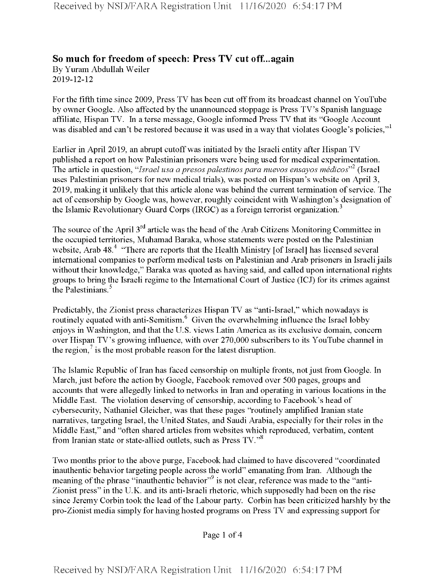## **So much for freedom of speech: Press TV cut off...again**

By Yuram Abdullah Weiler 2019-12-12

For the fifth time since 2009, Press TV has been cut off from its broadcast channel on YouTube by owner Google. Also affected by the unannounced stoppage is Press TV's Spanish language affiliate, Hispan TV. In a terse message, Google informed Press TV that its "Google Account was disabled and can't be restored because it was used in a way that violates Google's policies,"<sup>1</sup>

Earlier in April 2019, an abrupt cutoffwas initiated by the Israeli entity after Hispan TV published a report on how Palestinian prisoners were being used for medical experimentation. The article in question, *"Israel usa a presos palestinos para nuevos ensayos* medicos" (Israel uses Palestinian prisoners for new medical trials), was posted on Hispan's website on April 3, 2019, making it unlikely that this article alone was behind the current termination of service. The act of censorship by Google was, however, roughly coincident with Washington's designation of the Islamic Revolutionary Guard Corps (IRGC) as a foreign terrorist organization.<sup>3</sup>

The source of the April  $3<sup>rd</sup>$  article was the head of the Arab Citizens Monitoring Committee in the occupied territories, Muhamad Baraka, whose statements were posted on the Palestinian website, Arab 48.<sup>4</sup> "There are reports that the Health Ministry [of Israel] has licensed several international companies to perform medical tests on Palestinian and Arab prisoners in Israeli jails without their knowledge," Baraka was quoted as having said, and called upon international rights groups to bring the Israeli regime to the International Court of Justice (ICJ) for its crimes against the Palestinians.<sup>5</sup>

Predictably, the Zionist press characterizes Hispan TV as "anti-Israel," which nowadays is routinely equated with anti-Semitism.<sup>6</sup> Given the overwhelming influence the Israel lobby enjoys in Washington, and that the U.S. views Latin America as its exclusive domain, concern over Hispan TV's growing influence, with over 270,000 subscribers to its YouTube channel in the region, $\frac{7}{1}$  is the most probable reason for the latest disruption.

The Islamic Republic of Iran has faced censorship on multiple fronts, not just from Google. In March, just before the action by Google, Facebook removed over 500 pages, groups and accounts that were allegedly linked to networks in Iran and operating in various locations in the Middle East. The violation deserving of censorship, according to Facebook's head of cybersecurity, Nathaniel Gleicher, was that these pages "routinely amplified Iranian state narratives, targeting Israel, the United States, and Saudi Arabia, especially for their roles in the Middle East," and "often shared articles from websites which reproduced, verbatim, content from Iranian state or state-allied outlets, such as Press TV."<sup>8</sup>

Two months prior to the above purge, Facebook had claimed to have discovered "coordinated inauthentic behavior targeting people across the world" emanating from Iran. Although the meaning of the phrase "inauthentic behavior"<sup>9</sup> is not clear, reference was made to the "anti-Zionist press" in the U.K. and its anti-Israeli rhetoric, which supposedly had been on the rise since Jeremy Corbin took the lead of the Labour party. Corbin has been criticized harshly by the pro-Zionist media simply for having hosted programs on Press TV and expressing support for

Page <sup>1</sup> of 4

Received by NSD/FARA Registration Unit 11/16/2020 6:54:17 PM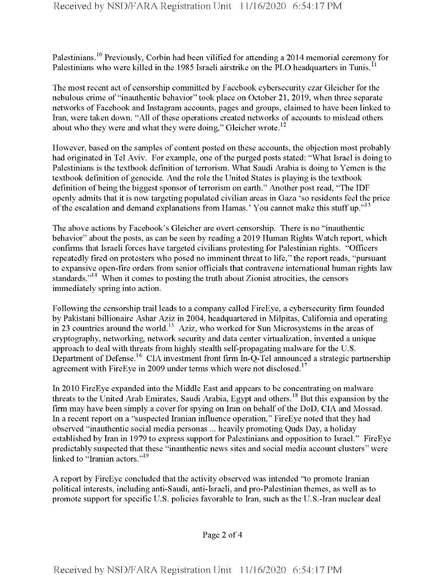Palestinians.10 Previously, Corbin had been vilified for attending a 2014 memorial ceremony for Palestinians who were killed in the 1985 Israeli airstrike on the PLO headquarters in Tunis.<sup>11</sup>

The most recent act of censorship committed by Facebook cybersecurity czar Gleicher for the nebulous crime of "inauthentic behavior" took place on October 21, 2019, when three separate networks of Facebook and Instagram accounts, pages and groups, claimed to have been linked to Iran, were taken down. "All of these operations created networks of accounts to mislead others about who they were and what they were doing," Gleicher wrote.<sup>12</sup>

However, based on the samples of content posted on these accounts, the objection most probably had originated in Tel Aviv. For example, one of the purged posts stated: "What Israel is doing to Palestinians is the textbook definition of terrorism. What Saudi Arabia is doing to Yemen is the textbook definition of genocide. And the role the United States is playing is the textbook definition of being the biggest sponsor of terrorism on earth." Another post read, "The IDF openly admits that it is now targeting populated civilian areas in Gaza 'so residents feel the price of the escalation and demand explanations from Hamas.' You cannot make this stuff up."<sup>13</sup>

The above actions by Facebook's Gleicher are overt censorship. There is no "inauthentic behavior" about the posts, as can be seen by reading a 2019 Human Rights Watch report, which confirms that Israeli forces have targeted civilians protesting for Palestinian rights. "Officers repeatedly fired on protesters who posed no imminent threat to life," the report reads, "pursuant to expansive open-fire orders from senior officials that contravene international human rights law standards."<sup>14</sup> When it comes to posting the truth about Zionist atrocities, the censors immediately spring into action.

Following the censorship trail leads to a company called FireEye, a cybersecurity firm founded by Pakistani billionaire Ashar Aziz in 2004, headquartered in Milpitas, California and operating in 23 countries around the world.<sup>15</sup> Aziz, who worked for Sun Microsystems in the areas of cryptography, networking, network security and data center virtualization, invented a unique approach to deal with threats from highly stealth self-propagating malware for the U.S. Department of Defense.<sup>16</sup> CIA investment front firm In-Q-Tel announced a strategic partnership agreement with FireEye in 2009 under terms which were not disclosed.<sup>17</sup>

In 2010 FireEye expanded into the Middle East and appears to be concentrating on malware threats to the United Arab Emirates, Saudi Arabia, Egypt and others.<sup>18</sup> But this expansion by the firm may have been simply a cover for spying on Iran on behalf of the DoD, CIA and Mossad. In a recent report on a "suspected Iranian influence operation," FireEye noted that they had observed "inauthentic social media personas ... heavily promoting Quds Day, a holiday established by Iran in 1979 to express support for Palestinians and opposition to Israel." FireEye predictably suspected that these "inauthentic news sites and social media account clusters" were linked to "Iranian actors."<sup>19</sup>

A report by FireEye concluded that the activity observed was intended "to promote Iranian political interests, including anti-Saudi, anti-Israeli, and pro-Palestinian themes, as well as to promote support for specific U.S. policies favorable to Iran, such as the U.S.-Iran nuclear deal

Page 2 of 4

Received by NSD/FARA Registration Unit 11/16/2020 6:54:17 PM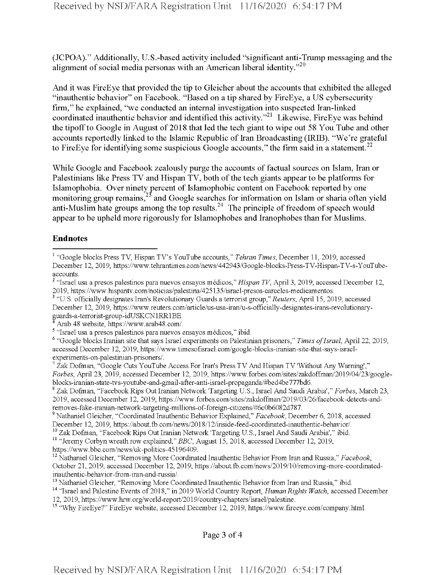(JCPOA)." Additionally, U.S.-based activity included "significant anti-Trump messaging and the alignment of social media personas with an American liberal identity."<sup>20</sup>

And it was FireEye that provided the tip to Gleicher about the accounts that exhibited the alleged "inauthentic behavior" on Facebook. "Based on a tip shared by FireEye, a US cybersecurity firm," he explained, "we conducted an internal investigation into suspected Iran-linked coordinated inauthentic behavior and identified this activity."<sup>21</sup> Likewise, FireEye was behind the tipoff to Google in August of 2018 that led the tech giant to wipe out 58 You Tube and other accounts reportedly linked to the Islamic Republic of Iran Broadcasting (IRIB). "We're grateful to FireEye for identifying some suspicious Google accounts," the firm said in a statement.<sup>22</sup>

While Google and Facebook zealously purge the accounts of factual sources on Islam, Iran or Palestinians like Press TV and Hispan TV, both of the tech giants appear to be platforms for Islamophobia. Over ninety percent of Islamophobic content on Facebook reported by one monitoring group remains,<sup>23</sup> and Google searches for information on Islam or sharia often yield anti-Muslim hate groups among the top results.<sup>24</sup> The principle of freedom of speech would appear to be upheld more rigorously for Islamophobes and Iranophobes than for Muslims.

## **Endnotes**

<sup>3</sup> "U.S. officially designates Iran's Revolutionary Guards a terrorist group," *Reuters,* April 15, 2019, accessed December 12, 2019, https://www.reuters.com/article/us-usa-iran/u-s-officially-designates-irans-revolutionaryguards-a-terrorist-group-idUSKCNlRRlBE.

Arab 48 website, https://www.arab48.com/.

<sup>8</sup> Zak Dofman, "Facebook Rips Out Iranian Network 'Targeting U.S., Israel And Saudi Arabia'," *Forbes*, March 23, 2019, accessed December 12, 2019, https://www.forbes.com/sites/zakdoffman/2019/03/26/facebook-detects-andremoves-fake-iranian-network-targeting-millions-of-foreign-citizens/#6c0b6082d787.

<sup>9</sup> Nathaniel Gleicher, "Coordinated Inauthentic Behavior Explained," *Facebook*, December 6, 2018, accessed December 12, 2019, https://about.fb.com/news/2018/12/inside-feed-coordinated-inauthentic-behavior/.

<sup>10</sup> Zak Dofman, "Facebook Rips Out Iranian Network 'Targeting U.S., Israel And Saudi Arabia'," ibid.

<sup>11</sup> "Jeremy Corbyn wreath row explained," *BBC*, August 15, 2018, accessed December 12, 2019, https://www.bbc.com/news/uk-politics-45196409.

<sup>12</sup> Nathaniel Gleicher, "Removing More Coordinated Inauthentic Behavior From Iran and Russia," *Facebook*, October 21, 2019, accessed December 12, 2019, https://about.fb.com/news/2019/10/removing-more-coordinatedinauthentic-behavior-from-iran-and-russia/.

<sup>13</sup> Nathaniel Gleicher, "Removing More Coordinated Inauthentic Behavior from Iran and Russia," ibid.

<sup>14</sup> "Israel and Palestine Events of 2018," in 2019 World Country Report, *Human Rights Watch*, accessed December 12, 2019, https://www.hrw.org/world-report/2019/country-chapters/israel/palestine.

Page 3 of 4

<sup>1</sup> "Google blocks Press TV, Hispan TV's YouTube accounts," *Tehran Times*, December 11, 2019, accessed December 12, 2019, https://www.tehrantimes.com/news/442943/Google-blocks-Press-TV-Hispan-TV-s-YouTubeaccounts.

<sup>&</sup>lt;sup>2</sup> "Israel usa a presos palestinos para nuevos ensayos médicos," *Hispan TV*, April 3, 2019, accessed December 12, 2019, https://www.hispantv.com/noticias/palestina/425135/israel-presos-carceles-medicamentos.

<sup>5</sup> "Israel usa a presos palestinos para nuevos ensayos medicos," ibid.

<sup>6</sup> "Google blocks Iranian site that says Israel experiments on Palestinian prisoners," *Times of Israel,* April 22, 2019, accessed December 12, 2019, https://www.timesofisrael.com/google-blocks-iranian-site-that-says-israelexperiments-on-palestinian-prisoners/.

<sup>7</sup> Zak Dofman, "Google Cuts YouTube Access For Iran's Press TV And Hispan TV 'Without Any Warning'," *Forbes*, April 23, 2019, accessed December 12, 2019, https://www.forbes.com/sites/zakdoffman/2019/04/23/googleblocks-iranian-state-tvs-youtube-and-gmail-after-anti-israel-propaganda/#bed4be777bd6.

<sup>&</sup>lt;sup>15</sup> "Why FireEye?" FireEye website, accessed December 12, 2019, https://www.fireeye.com/company.html.